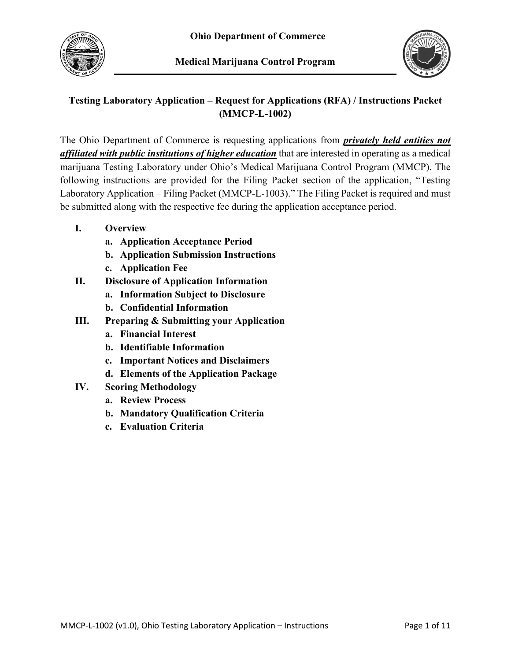



# **Testing Laboratory Application – Request for Applications (RFA) / Instructions Packet (MMCP-L-1002)**

The Ohio Department of Commerce is requesting applications from *privately held entities not affiliated with public institutions of higher education* that are interested in operating as a medical marijuana Testing Laboratory under Ohio's Medical Marijuana Control Program (MMCP). The following instructions are provided for the Filing Packet section of the application, "Testing Laboratory Application – Filing Packet (MMCP-L-1003)." The Filing Packet is required and must be submitted along with the respective fee during the application acceptance period.

- **I. Overview**
	- **a. Application Acceptance Period**
	- **b. Application Submission Instructions**
	- **c. Application Fee**
- **II. Disclosure of Application Information**
	- **a. Information Subject to Disclosure**
	- **b. Confidential Information**
- **III. Preparing & Submitting your Application**
	- **a. Financial Interest**
	- **b. Identifiable Information**
	- **c. Important Notices and Disclaimers**
	- **d. Elements of the Application Package**
- **IV. Scoring Methodology**
	- **a. Review Process**
	- **b. Mandatory Qualification Criteria**
	- **c. Evaluation Criteria**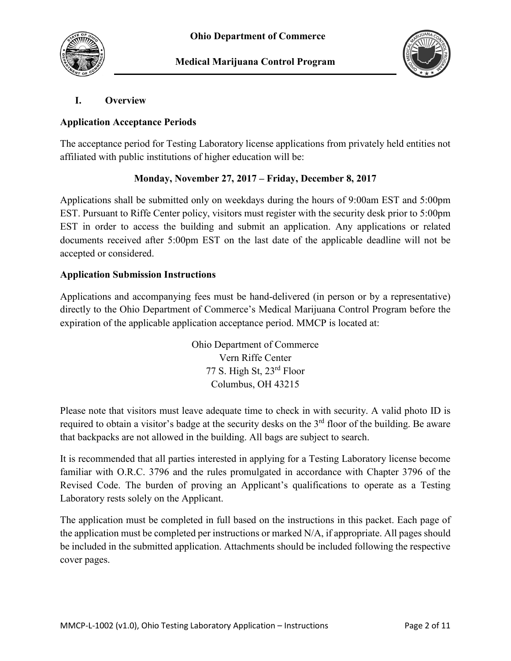



## **I. Overview**

#### **Application Acceptance Periods**

The acceptance period for Testing Laboratory license applications from privately held entities not affiliated with public institutions of higher education will be:

## **Monday, November 27, 2017 – Friday, December 8, 2017**

Applications shall be submitted only on weekdays during the hours of 9:00am EST and 5:00pm EST. Pursuant to Riffe Center policy, visitors must register with the security desk prior to 5:00pm EST in order to access the building and submit an application. Any applications or related documents received after 5:00pm EST on the last date of the applicable deadline will not be accepted or considered.

#### **Application Submission Instructions**

Applications and accompanying fees must be hand-delivered (in person or by a representative) directly to the Ohio Department of Commerce's Medical Marijuana Control Program before the expiration of the applicable application acceptance period. MMCP is located at:

> Ohio Department of Commerce Vern Riffe Center 77 S. High St, 23rd Floor Columbus, OH 43215

Please note that visitors must leave adequate time to check in with security. A valid photo ID is required to obtain a visitor's badge at the security desks on the 3<sup>rd</sup> floor of the building. Be aware that backpacks are not allowed in the building. All bags are subject to search.

It is recommended that all parties interested in applying for a Testing Laboratory license become familiar with O.R.C. 3796 and the rules promulgated in accordance with Chapter 3796 of the Revised Code. The burden of proving an Applicant's qualifications to operate as a Testing Laboratory rests solely on the Applicant.

The application must be completed in full based on the instructions in this packet. Each page of the application must be completed per instructions or marked N/A, if appropriate. All pages should be included in the submitted application. Attachments should be included following the respective cover pages.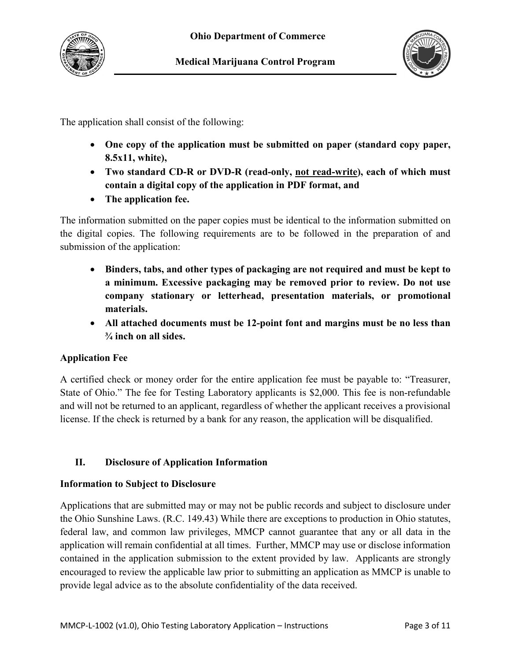

The application shall consist of the following:

- **One copy of the application must be submitted on paper (standard copy paper, 8.5x11, white),**
- **Two standard CD-R or DVD-R (read-only, not read-write), each of which must contain a digital copy of the application in PDF format, and**
- **The application fee.**

The information submitted on the paper copies must be identical to the information submitted on the digital copies. The following requirements are to be followed in the preparation of and submission of the application:

- **Binders, tabs, and other types of packaging are not required and must be kept to a minimum. Excessive packaging may be removed prior to review. Do not use company stationary or letterhead, presentation materials, or promotional materials.**
- **All attached documents must be 12-point font and margins must be no less than ¾ inch on all sides.**

# **Application Fee**

A certified check or money order for the entire application fee must be payable to: "Treasurer, State of Ohio." The fee for Testing Laboratory applicants is \$2,000. This fee is non-refundable and will not be returned to an applicant, regardless of whether the applicant receives a provisional license. If the check is returned by a bank for any reason, the application will be disqualified.

# **II. Disclosure of Application Information**

## **Information to Subject to Disclosure**

Applications that are submitted may or may not be public records and subject to disclosure under the Ohio Sunshine Laws. (R.C. 149.43) While there are exceptions to production in Ohio statutes, federal law, and common law privileges, MMCP cannot guarantee that any or all data in the application will remain confidential at all times. Further, MMCP may use or disclose information contained in the application submission to the extent provided by law. Applicants are strongly encouraged to review the applicable law prior to submitting an application as MMCP is unable to provide legal advice as to the absolute confidentiality of the data received.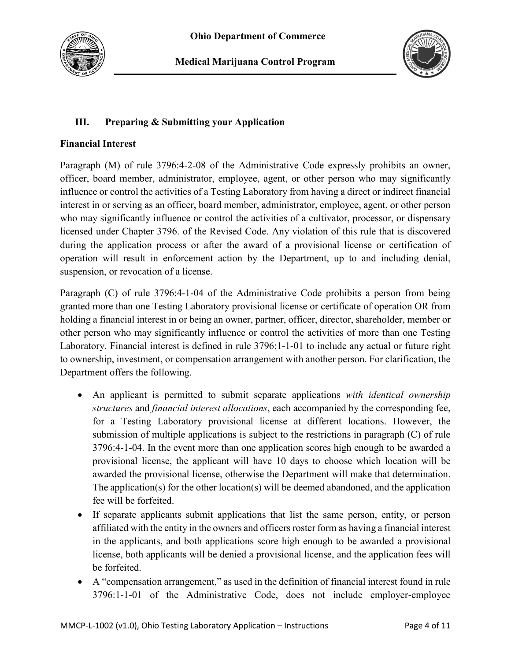



# **III. Preparing & Submitting your Application**

## **Financial Interest**

Paragraph (M) of rule 3796:4-2-08 of the Administrative Code expressly prohibits an owner, officer, board member, administrator, employee, agent, or other person who may significantly influence or control the activities of a Testing Laboratory from having a direct or indirect financial interest in or serving as an officer, board member, administrator, employee, agent, or other person who may significantly influence or control the activities of a cultivator, processor, or dispensary licensed under Chapter 3796. of the Revised Code. Any violation of this rule that is discovered during the application process or after the award of a provisional license or certification of operation will result in enforcement action by the Department, up to and including denial, suspension, or revocation of a license.

Paragraph (C) of rule 3796:4-1-04 of the Administrative Code prohibits a person from being granted more than one Testing Laboratory provisional license or certificate of operation OR from holding a financial interest in or being an owner, partner, officer, director, shareholder, member or other person who may significantly influence or control the activities of more than one Testing Laboratory. Financial interest is defined in rule 3796:1-1-01 to include any actual or future right to ownership, investment, or compensation arrangement with another person. For clarification, the Department offers the following.

- An applicant is permitted to submit separate applications *with identical ownership structures* and *financial interest allocations*, each accompanied by the corresponding fee, for a Testing Laboratory provisional license at different locations. However, the submission of multiple applications is subject to the restrictions in paragraph (C) of rule 3796:4-1-04. In the event more than one application scores high enough to be awarded a provisional license, the applicant will have 10 days to choose which location will be awarded the provisional license, otherwise the Department will make that determination. The application(s) for the other location(s) will be deemed abandoned, and the application fee will be forfeited.
- If separate applicants submit applications that list the same person, entity, or person affiliated with the entity in the owners and officers roster form as having a financial interest in the applicants, and both applications score high enough to be awarded a provisional license, both applicants will be denied a provisional license, and the application fees will be forfeited.
- A "compensation arrangement," as used in the definition of financial interest found in rule 3796:1-1-01 of the Administrative Code, does not include employer-employee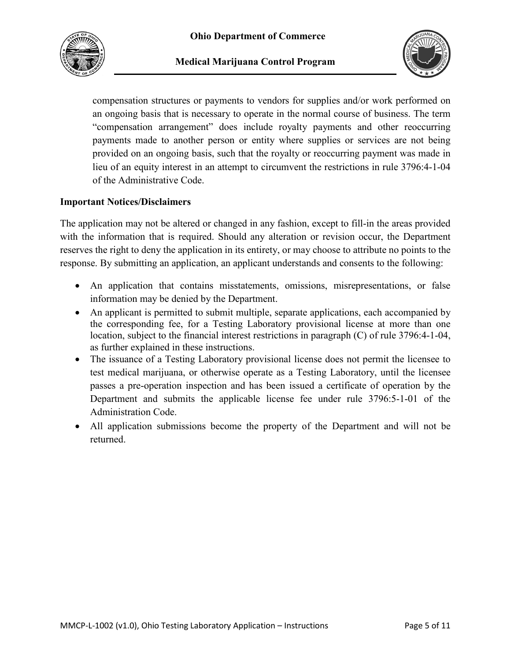



compensation structures or payments to vendors for supplies and/or work performed on an ongoing basis that is necessary to operate in the normal course of business. The term "compensation arrangement" does include royalty payments and other reoccurring payments made to another person or entity where supplies or services are not being provided on an ongoing basis, such that the royalty or reoccurring payment was made in lieu of an equity interest in an attempt to circumvent the restrictions in rule 3796:4-1-04 of the Administrative Code.

#### **Important Notices/Disclaimers**

The application may not be altered or changed in any fashion, except to fill-in the areas provided with the information that is required. Should any alteration or revision occur, the Department reserves the right to deny the application in its entirety, or may choose to attribute no points to the response. By submitting an application, an applicant understands and consents to the following:

- An application that contains misstatements, omissions, misrepresentations, or false information may be denied by the Department.
- An applicant is permitted to submit multiple, separate applications, each accompanied by the corresponding fee, for a Testing Laboratory provisional license at more than one location, subject to the financial interest restrictions in paragraph (C) of rule 3796:4-1-04, as further explained in these instructions.
- The issuance of a Testing Laboratory provisional license does not permit the licensee to test medical marijuana, or otherwise operate as a Testing Laboratory, until the licensee passes a pre-operation inspection and has been issued a certificate of operation by the Department and submits the applicable license fee under rule 3796:5-1-01 of the Administration Code.
- All application submissions become the property of the Department and will not be returned.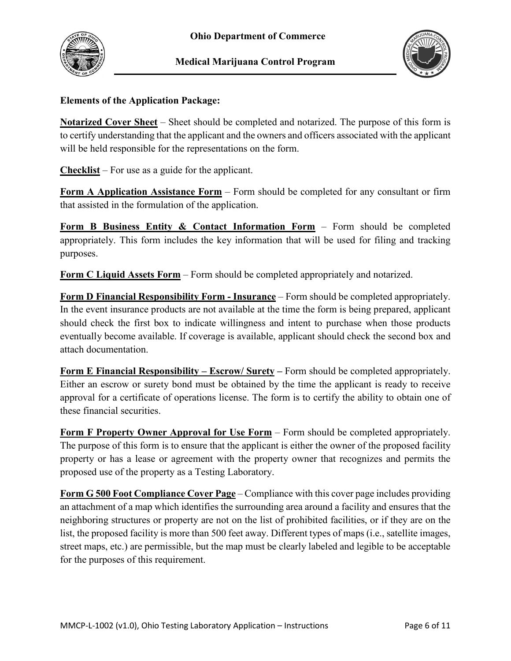



## **Elements of the Application Package:**

**Notarized Cover Sheet** – Sheet should be completed and notarized. The purpose of this form is to certify understanding that the applicant and the owners and officers associated with the applicant will be held responsible for the representations on the form.

**Checklist** – For use as a guide for the applicant.

**Form A Application Assistance Form** – Form should be completed for any consultant or firm that assisted in the formulation of the application.

**Form B Business Entity & Contact Information Form** – Form should be completed appropriately. This form includes the key information that will be used for filing and tracking purposes.

**Form C Liquid Assets Form** – Form should be completed appropriately and notarized.

**Form D Financial Responsibility Form - Insurance** – Form should be completed appropriately. In the event insurance products are not available at the time the form is being prepared, applicant should check the first box to indicate willingness and intent to purchase when those products eventually become available. If coverage is available, applicant should check the second box and attach documentation.

**Form E Financial Responsibility – Escrow/ Surety –** Form should be completed appropriately. Either an escrow or surety bond must be obtained by the time the applicant is ready to receive approval for a certificate of operations license. The form is to certify the ability to obtain one of these financial securities.

**Form F Property Owner Approval for Use Form** – Form should be completed appropriately. The purpose of this form is to ensure that the applicant is either the owner of the proposed facility property or has a lease or agreement with the property owner that recognizes and permits the proposed use of the property as a Testing Laboratory.

**Form G 500 Foot Compliance Cover Page** – Compliance with this cover page includes providing an attachment of a map which identifies the surrounding area around a facility and ensures that the neighboring structures or property are not on the list of prohibited facilities, or if they are on the list, the proposed facility is more than 500 feet away. Different types of maps (i.e., satellite images, street maps, etc.) are permissible, but the map must be clearly labeled and legible to be acceptable for the purposes of this requirement.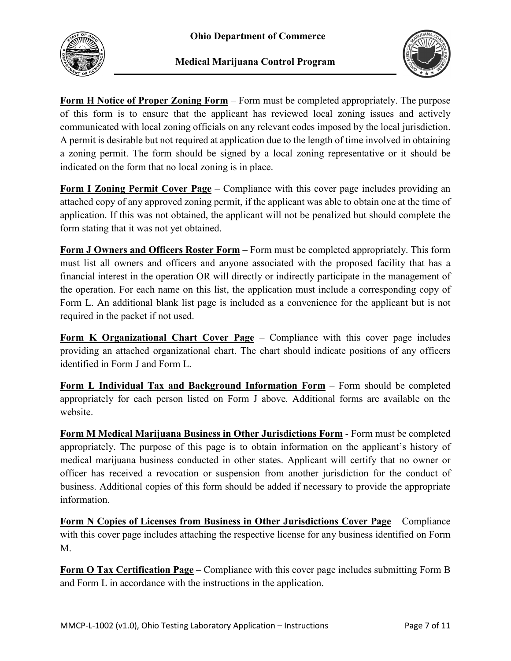



**Form H Notice of Proper Zoning Form** – Form must be completed appropriately. The purpose of this form is to ensure that the applicant has reviewed local zoning issues and actively communicated with local zoning officials on any relevant codes imposed by the local jurisdiction. A permit is desirable but not required at application due to the length of time involved in obtaining a zoning permit. The form should be signed by a local zoning representative or it should be indicated on the form that no local zoning is in place.

**Form I Zoning Permit Cover Page** – Compliance with this cover page includes providing an attached copy of any approved zoning permit, if the applicant was able to obtain one at the time of application. If this was not obtained, the applicant will not be penalized but should complete the form stating that it was not yet obtained.

**Form J Owners and Officers Roster Form** – Form must be completed appropriately. This form must list all owners and officers and anyone associated with the proposed facility that has a financial interest in the operation OR will directly or indirectly participate in the management of the operation. For each name on this list, the application must include a corresponding copy of Form L. An additional blank list page is included as a convenience for the applicant but is not required in the packet if not used.

**Form K Organizational Chart Cover Page** – Compliance with this cover page includes providing an attached organizational chart. The chart should indicate positions of any officers identified in Form J and Form L.

**Form L Individual Tax and Background Information Form** – Form should be completed appropriately for each person listed on Form J above. Additional forms are available on the website.

**Form M Medical Marijuana Business in Other Jurisdictions Form** - Form must be completed appropriately. The purpose of this page is to obtain information on the applicant's history of medical marijuana business conducted in other states. Applicant will certify that no owner or officer has received a revocation or suspension from another jurisdiction for the conduct of business. Additional copies of this form should be added if necessary to provide the appropriate information.

**Form N Copies of Licenses from Business in Other Jurisdictions Cover Page** – Compliance with this cover page includes attaching the respective license for any business identified on Form M.

**Form O Tax Certification Page** – Compliance with this cover page includes submitting Form B and Form L in accordance with the instructions in the application.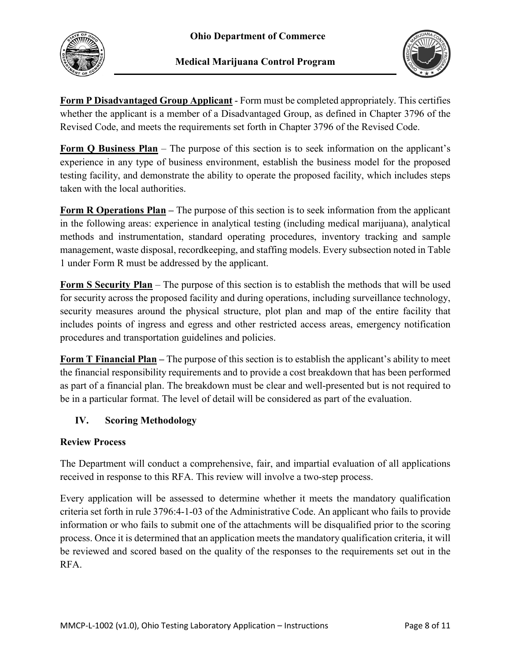



**Form P Disadvantaged Group Applicant** - Form must be completed appropriately. This certifies whether the applicant is a member of a Disadvantaged Group, as defined in Chapter 3796 of the Revised Code, and meets the requirements set forth in Chapter 3796 of the Revised Code.

**Form Q Business Plan** – The purpose of this section is to seek information on the applicant's experience in any type of business environment, establish the business model for the proposed testing facility, and demonstrate the ability to operate the proposed facility, which includes steps taken with the local authorities.

**Form R Operations Plan –** The purpose of this section is to seek information from the applicant in the following areas: experience in analytical testing (including medical marijuana), analytical methods and instrumentation, standard operating procedures, inventory tracking and sample management, waste disposal, recordkeeping, and staffing models. Every subsection noted in Table 1 under Form R must be addressed by the applicant.

**Form S Security Plan** – The purpose of this section is to establish the methods that will be used for security across the proposed facility and during operations, including surveillance technology, security measures around the physical structure, plot plan and map of the entire facility that includes points of ingress and egress and other restricted access areas, emergency notification procedures and transportation guidelines and policies.

**Form T Financial Plan –** The purpose of this section is to establish the applicant's ability to meet the financial responsibility requirements and to provide a cost breakdown that has been performed as part of a financial plan. The breakdown must be clear and well-presented but is not required to be in a particular format. The level of detail will be considered as part of the evaluation.

# **IV. Scoring Methodology**

## **Review Process**

The Department will conduct a comprehensive, fair, and impartial evaluation of all applications received in response to this RFA. This review will involve a two-step process.

Every application will be assessed to determine whether it meets the mandatory qualification criteria set forth in rule 3796:4-1-03 of the Administrative Code. An applicant who fails to provide information or who fails to submit one of the attachments will be disqualified prior to the scoring process. Once it is determined that an application meets the mandatory qualification criteria, it will be reviewed and scored based on the quality of the responses to the requirements set out in the RFA.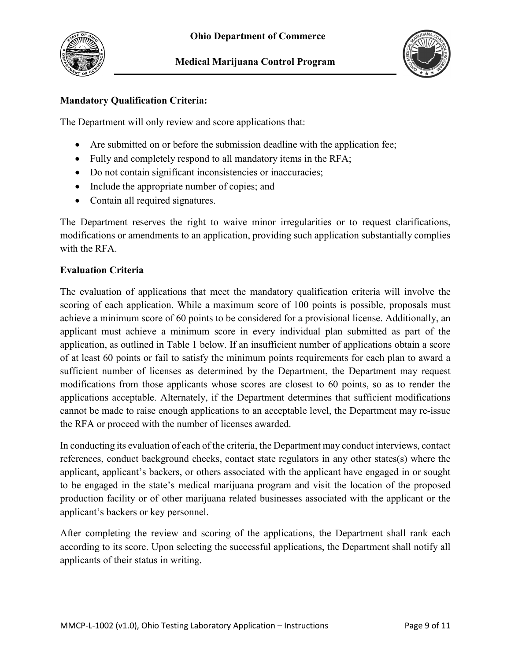



## **Mandatory Qualification Criteria:**

The Department will only review and score applications that:

- Are submitted on or before the submission deadline with the application fee;
- Fully and completely respond to all mandatory items in the RFA;
- Do not contain significant inconsistencies or inaccuracies;
- Include the appropriate number of copies; and
- Contain all required signatures.

The Department reserves the right to waive minor irregularities or to request clarifications, modifications or amendments to an application, providing such application substantially complies with the RFA.

#### **Evaluation Criteria**

The evaluation of applications that meet the mandatory qualification criteria will involve the scoring of each application. While a maximum score of 100 points is possible, proposals must achieve a minimum score of 60 points to be considered for a provisional license. Additionally, an applicant must achieve a minimum score in every individual plan submitted as part of the application, as outlined in Table 1 below. If an insufficient number of applications obtain a score of at least 60 points or fail to satisfy the minimum points requirements for each plan to award a sufficient number of licenses as determined by the Department, the Department may request modifications from those applicants whose scores are closest to 60 points, so as to render the applications acceptable. Alternately, if the Department determines that sufficient modifications cannot be made to raise enough applications to an acceptable level, the Department may re-issue the RFA or proceed with the number of licenses awarded.

In conducting its evaluation of each of the criteria, the Department may conduct interviews, contact references, conduct background checks, contact state regulators in any other states(s) where the applicant, applicant's backers, or others associated with the applicant have engaged in or sought to be engaged in the state's medical marijuana program and visit the location of the proposed production facility or of other marijuana related businesses associated with the applicant or the applicant's backers or key personnel.

After completing the review and scoring of the applications, the Department shall rank each according to its score. Upon selecting the successful applications, the Department shall notify all applicants of their status in writing.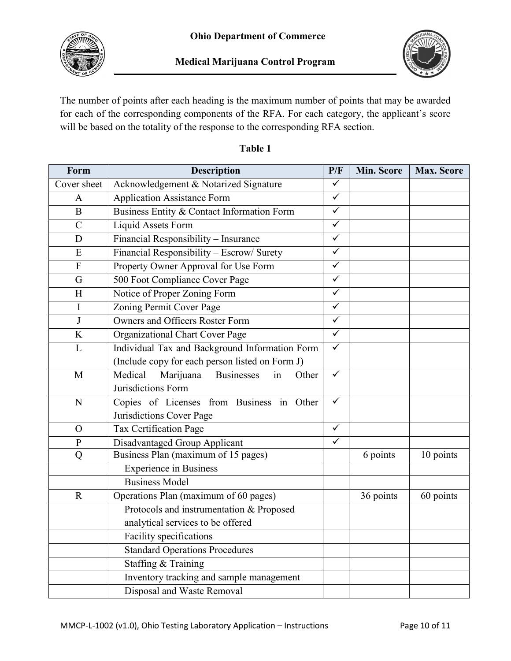



The number of points after each heading is the maximum number of points that may be awarded for each of the corresponding components of the RFA. For each category, the applicant's score will be based on the totality of the response to the corresponding RFA section.

| Form          | <b>Description</b>                                       | P/F                     | Min. Score | <b>Max. Score</b> |
|---------------|----------------------------------------------------------|-------------------------|------------|-------------------|
| Cover sheet   | Acknowledgement & Notarized Signature                    | ✓                       |            |                   |
| $\mathbf{A}$  | <b>Application Assistance Form</b>                       | $\overline{\checkmark}$ |            |                   |
| $\bf{B}$      | Business Entity & Contact Information Form               | $\checkmark$            |            |                   |
| $\mathcal{C}$ | Liquid Assets Form                                       | $\checkmark$            |            |                   |
| D             | Financial Responsibility - Insurance                     | $\overline{\checkmark}$ |            |                   |
| ${\bf E}$     | Financial Responsibility - Escrow/ Surety                | $\checkmark$            |            |                   |
| ${\bf F}$     | Property Owner Approval for Use Form                     | $\checkmark$            |            |                   |
| G             | 500 Foot Compliance Cover Page                           | $\checkmark$            |            |                   |
| H             | Notice of Proper Zoning Form                             | $\overline{\checkmark}$ |            |                   |
| I             | Zoning Permit Cover Page                                 | $\checkmark$            |            |                   |
| $\bf J$       | Owners and Officers Roster Form                          | $\checkmark$            |            |                   |
| K             | Organizational Chart Cover Page                          | $\checkmark$            |            |                   |
| L             | Individual Tax and Background Information Form           | $\overline{\checkmark}$ |            |                   |
|               | (Include copy for each person listed on Form J)          |                         |            |                   |
| M             | Medical<br>Marijuana<br><b>Businesses</b><br>in<br>Other | ✓                       |            |                   |
|               | Jurisdictions Form                                       |                         |            |                   |
| N             | Copies of Licenses from Business in Other                | ✓                       |            |                   |
|               | Jurisdictions Cover Page                                 |                         |            |                   |
| $\Omega$      | <b>Tax Certification Page</b>                            | $\checkmark$            |            |                   |
| ${\bf P}$     | Disadvantaged Group Applicant                            | $\checkmark$            |            |                   |
| Q             | Business Plan (maximum of 15 pages)                      |                         | 6 points   | 10 points         |
|               | <b>Experience in Business</b>                            |                         |            |                   |
|               | <b>Business Model</b>                                    |                         |            |                   |
| $\mathbf R$   | Operations Plan (maximum of 60 pages)                    |                         | 36 points  | 60 points         |
|               | Protocols and instrumentation & Proposed                 |                         |            |                   |
|               | analytical services to be offered                        |                         |            |                   |
|               | Facility specifications                                  |                         |            |                   |
|               | <b>Standard Operations Procedures</b>                    |                         |            |                   |
|               | Staffing & Training                                      |                         |            |                   |
|               | Inventory tracking and sample management                 |                         |            |                   |
|               | Disposal and Waste Removal                               |                         |            |                   |

## **Table 1**